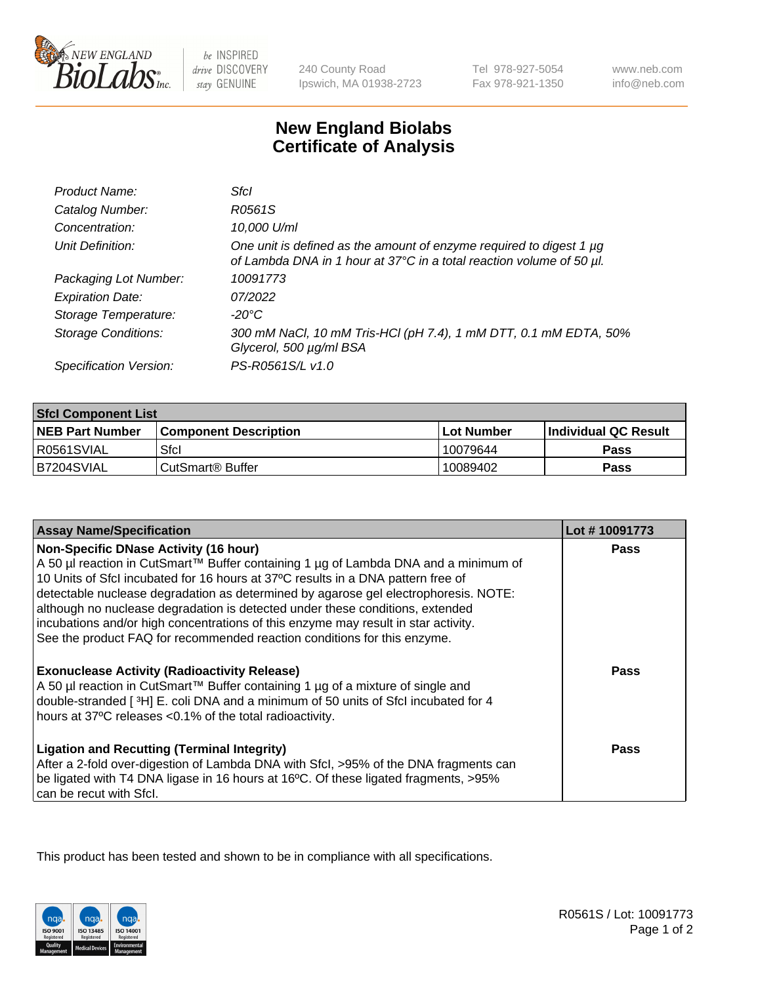

 $be$  INSPIRED drive DISCOVERY stay GENUINE

240 County Road Ipswich, MA 01938-2723 Tel 978-927-5054 Fax 978-921-1350

www.neb.com info@neb.com

## **New England Biolabs Certificate of Analysis**

| Product Name:              | Sfcl                                                                                                                                             |
|----------------------------|--------------------------------------------------------------------------------------------------------------------------------------------------|
| Catalog Number:            | R0561S                                                                                                                                           |
| Concentration:             | 10,000 U/ml                                                                                                                                      |
| Unit Definition:           | One unit is defined as the amount of enzyme required to digest 1 $\mu$ g<br>of Lambda DNA in 1 hour at 37°C in a total reaction volume of 50 µl. |
| Packaging Lot Number:      | 10091773                                                                                                                                         |
| <b>Expiration Date:</b>    | 07/2022                                                                                                                                          |
| Storage Temperature:       | -20°C                                                                                                                                            |
| <b>Storage Conditions:</b> | 300 mM NaCl, 10 mM Tris-HCl (pH 7.4), 1 mM DTT, 0.1 mM EDTA, 50%<br>Glycerol, 500 µg/ml BSA                                                      |
| Specification Version:     | PS-R0561S/L v1.0                                                                                                                                 |

| <b>Sfcl Component List</b> |                              |              |                             |  |
|----------------------------|------------------------------|--------------|-----------------------------|--|
| <b>NEB Part Number</b>     | <b>Component Description</b> | l Lot Number | <b>Individual QC Result</b> |  |
| R0561SVIAL                 | Sfcl                         | 10079644     | Pass                        |  |
| B7204SVIAL                 | CutSmart <sup>®</sup> Buffer | 10089402     | Pass                        |  |

| <b>Assay Name/Specification</b>                                                                                                                                                                                                                          | Lot #10091773 |
|----------------------------------------------------------------------------------------------------------------------------------------------------------------------------------------------------------------------------------------------------------|---------------|
| <b>Non-Specific DNase Activity (16 hour)</b><br>A 50 µl reaction in CutSmart™ Buffer containing 1 µg of Lambda DNA and a minimum of                                                                                                                      | <b>Pass</b>   |
| 10 Units of SfcI incubated for 16 hours at 37°C results in a DNA pattern free of<br>detectable nuclease degradation as determined by agarose gel electrophoresis. NOTE:<br>although no nuclease degradation is detected under these conditions, extended |               |
| incubations and/or high concentrations of this enzyme may result in star activity.<br>See the product FAQ for recommended reaction conditions for this enzyme.                                                                                           |               |
| <b>Exonuclease Activity (Radioactivity Release)</b>                                                                                                                                                                                                      | <b>Pass</b>   |
| A 50 µl reaction in CutSmart™ Buffer containing 1 µg of a mixture of single and                                                                                                                                                                          |               |
| double-stranded [3H] E. coli DNA and a minimum of 50 units of Sfcl incubated for 4<br>hours at 37°C releases <0.1% of the total radioactivity.                                                                                                           |               |
| <b>Ligation and Recutting (Terminal Integrity)</b>                                                                                                                                                                                                       | Pass          |
| After a 2-fold over-digestion of Lambda DNA with Sfcl, >95% of the DNA fragments can                                                                                                                                                                     |               |
| be ligated with T4 DNA ligase in 16 hours at 16°C. Of these ligated fragments, >95%<br>can be recut with Sfcl.                                                                                                                                           |               |

This product has been tested and shown to be in compliance with all specifications.